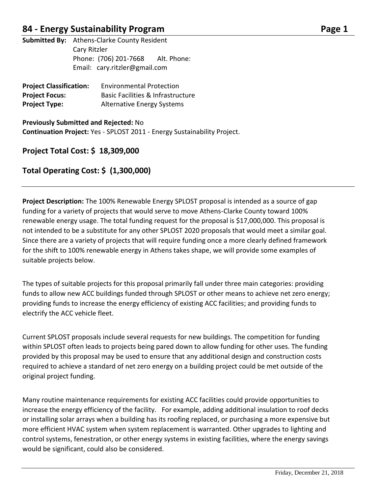## **84 - Energy Sustainability Program Page 1**

**Submitted By:** Athens-Clarke County Resident Cary Ritzler Phone: (706) 201-7668 Alt. Phone: Email: cary.ritzler@gmail.com

| <b>Project Classification:</b> | <b>Environmental Protection</b>   |
|--------------------------------|-----------------------------------|
| <b>Project Focus:</b>          | Basic Facilities & Infrastructure |
| <b>Project Type:</b>           | <b>Alternative Energy Systems</b> |

**Previously Submitted and Rejected:** No **Continuation Project:** Yes - SPLOST 2011 - Energy Sustainability Project.

### **Project Total Cost: \$ 18,309,000**

### **Total Operating Cost: \$ (1,300,000)**

**Project Description:** The 100% Renewable Energy SPLOST proposal is intended as a source of gap funding for a variety of projects that would serve to move Athens-Clarke County toward 100% renewable energy usage. The total funding request for the proposal is \$17,000,000. This proposal is not intended to be a substitute for any other SPLOST 2020 proposals that would meet a similar goal. Since there are a variety of projects that will require funding once a more clearly defined framework for the shift to 100% renewable energy in Athens takes shape, we will provide some examples of suitable projects below.

The types of suitable projects for this proposal primarily fall under three main categories: providing funds to allow new ACC buildings funded through SPLOST or other means to achieve net zero energy; providing funds to increase the energy efficiency of existing ACC facilities; and providing funds to electrify the ACC vehicle fleet.

Current SPLOST proposals include several requests for new buildings. The competition for funding within SPLOST often leads to projects being pared down to allow funding for other uses. The funding provided by this proposal may be used to ensure that any additional design and construction costs required to achieve a standard of net zero energy on a building project could be met outside of the original project funding.

Many routine maintenance requirements for existing ACC facilities could provide opportunities to increase the energy efficiency of the facility. For example, adding additional insulation to roof decks or installing solar arrays when a building has its roofing replaced, or purchasing a more expensive but more efficient HVAC system when system replacement is warranted. Other upgrades to lighting and control systems, fenestration, or other energy systems in existing facilities, where the energy savings would be significant, could also be considered.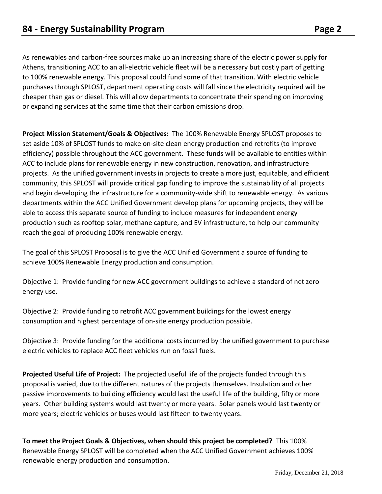As renewables and carbon-free sources make up an increasing share of the electric power supply for Athens, transitioning ACC to an all-electric vehicle fleet will be a necessary but costly part of getting to 100% renewable energy. This proposal could fund some of that transition. With electric vehicle purchases through SPLOST, department operating costs will fall since the electricity required will be cheaper than gas or diesel. This will allow departments to concentrate their spending on improving or expanding services at the same time that their carbon emissions drop.

**Project Mission Statement/Goals & Objectives:** The 100% Renewable Energy SPLOST proposes to set aside 10% of SPLOST funds to make on-site clean energy production and retrofits (to improve efficiency) possible throughout the ACC government. These funds will be available to entities within ACC to include plans for renewable energy in new construction, renovation, and infrastructure projects. As the unified government invests in projects to create a more just, equitable, and efficient community, this SPLOST will provide critical gap funding to improve the sustainability of all projects and begin developing the infrastructure for a community-wide shift to renewable energy. As various departments within the ACC Unified Government develop plans for upcoming projects, they will be able to access this separate source of funding to include measures for independent energy production such as rooftop solar, methane capture, and EV infrastructure, to help our community reach the goal of producing 100% renewable energy.

The goal of this SPLOST Proposal is to give the ACC Unified Government a source of funding to achieve 100% Renewable Energy production and consumption.

Objective 1: Provide funding for new ACC government buildings to achieve a standard of net zero energy use.

Objective 2: Provide funding to retrofit ACC government buildings for the lowest energy consumption and highest percentage of on-site energy production possible.

Objective 3: Provide funding for the additional costs incurred by the unified government to purchase electric vehicles to replace ACC fleet vehicles run on fossil fuels.

**Projected Useful Life of Project:** The projected useful life of the projects funded through this proposal is varied, due to the different natures of the projects themselves. Insulation and other passive improvements to building efficiency would last the useful life of the building, fifty or more years. Other building systems would last twenty or more years. Solar panels would last twenty or more years; electric vehicles or buses would last fifteen to twenty years.

**To meet the Project Goals & Objectives, when should this project be completed?** This 100% Renewable Energy SPLOST will be completed when the ACC Unified Government achieves 100% renewable energy production and consumption.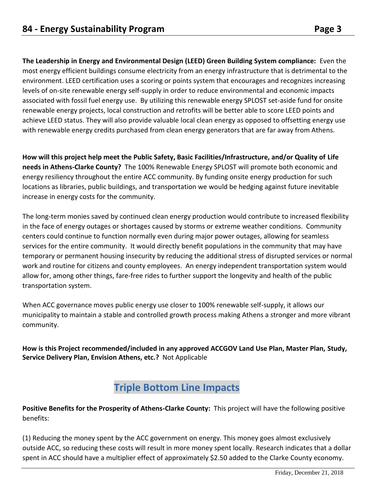**The Leadership in Energy and Environmental Design (LEED) Green Building System compliance:** Even the most energy efficient buildings consume electricity from an energy infrastructure that is detrimental to the environment. LEED certification uses a scoring or points system that encourages and recognizes increasing levels of on-site renewable energy self-supply in order to reduce environmental and economic impacts associated with fossil fuel energy use. By utilizing this renewable energy SPLOST set-aside fund for onsite renewable energy projects, local construction and retrofits will be better able to score LEED points and achieve LEED status. They will also provide valuable local clean energy as opposed to offsetting energy use with renewable energy credits purchased from clean energy generators that are far away from Athens.

**How will this project help meet the Public Safety, Basic Facilities/Infrastructure, and/or Quality of Life needs in Athens-Clarke County?** The 100% Renewable Energy SPLOST will promote both economic and energy resiliency throughout the entire ACC community. By funding onsite energy production for such locations as libraries, public buildings, and transportation we would be hedging against future inevitable increase in energy costs for the community.

The long-term monies saved by continued clean energy production would contribute to increased flexibility in the face of energy outages or shortages caused by storms or extreme weather conditions. Community centers could continue to function normally even during major power outages, allowing for seamless services for the entire community. It would directly benefit populations in the community that may have temporary or permanent housing insecurity by reducing the additional stress of disrupted services or normal work and routine for citizens and county employees. An energy independent transportation system would allow for, among other things, fare-free rides to further support the longevity and health of the public transportation system.

When ACC governance moves public energy use closer to 100% renewable self-supply, it allows our municipality to maintain a stable and controlled growth process making Athens a stronger and more vibrant community.

**How is this Project recommended/included in any approved ACCGOV Land Use Plan, Master Plan, Study, Service Delivery Plan, Envision Athens, etc.?** Not Applicable

# **Triple Bottom Line Impacts**

**Positive Benefits for the Prosperity of Athens-Clarke County:** This project will have the following positive benefits:

(1) Reducing the money spent by the ACC government on energy. This money goes almost exclusively outside ACC, so reducing these costs will result in more money spent locally. Research indicates that a dollar spent in ACC should have a multiplier effect of approximately \$2.50 added to the Clarke County economy.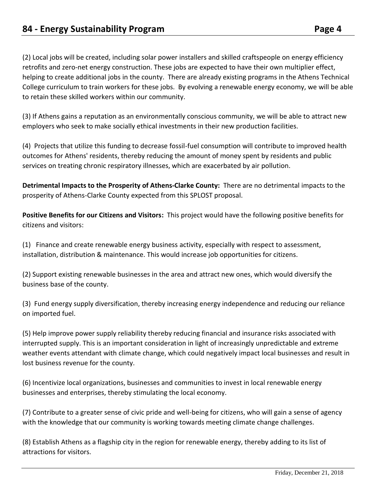(2) Local jobs will be created, including solar power installers and skilled craftspeople on energy efficiency retrofits and zero-net energy construction. These jobs are expected to have their own multiplier effect, helping to create additional jobs in the county. There are already existing programs in the Athens Technical College curriculum to train workers for these jobs. By evolving a renewable energy economy, we will be able to retain these skilled workers within our community.

(3) If Athens gains a reputation as an environmentally conscious community, we will be able to attract new employers who seek to make socially ethical investments in their new production facilities.

(4) Projects that utilize this funding to decrease fossil-fuel consumption will contribute to improved health outcomes for Athens' residents, thereby reducing the amount of money spent by residents and public services on treating chronic respiratory illnesses, which are exacerbated by air pollution.

**Detrimental Impacts to the Prosperity of Athens-Clarke County:** There are no detrimental impacts to the prosperity of Athens-Clarke County expected from this SPLOST proposal.

**Positive Benefits for our Citizens and Visitors:** This project would have the following positive benefits for citizens and visitors:

(1) Finance and create renewable energy business activity, especially with respect to assessment, installation, distribution & maintenance. This would increase job opportunities for citizens.

(2) Support existing renewable businesses in the area and attract new ones, which would diversify the business base of the county.

(3) Fund energy supply diversification, thereby increasing energy independence and reducing our reliance on imported fuel.

(5) Help improve power supply reliability thereby reducing financial and insurance risks associated with interrupted supply. This is an important consideration in light of increasingly unpredictable and extreme weather events attendant with climate change, which could negatively impact local businesses and result in lost business revenue for the county.

(6) Incentivize local organizations, businesses and communities to invest in local renewable energy businesses and enterprises, thereby stimulating the local economy.

(7) Contribute to a greater sense of civic pride and well-being for citizens, who will gain a sense of agency with the knowledge that our community is working towards meeting climate change challenges.

(8) Establish Athens as a flagship city in the region for renewable energy, thereby adding to its list of attractions for visitors.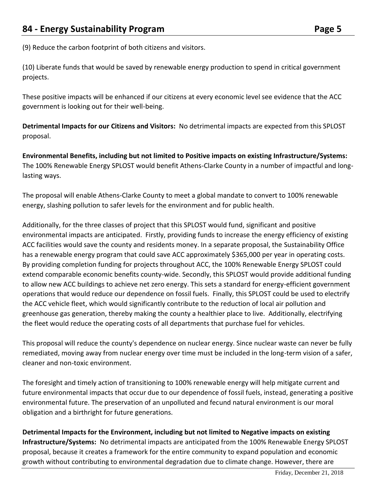(9) Reduce the carbon footprint of both citizens and visitors.

(10) Liberate funds that would be saved by renewable energy production to spend in critical government projects.

These positive impacts will be enhanced if our citizens at every economic level see evidence that the ACC government is looking out for their well-being.

**Detrimental Impacts for our Citizens and Visitors:** No detrimental impacts are expected from this SPLOST proposal.

**Environmental Benefits, including but not limited to Positive impacts on existing Infrastructure/Systems:**  The 100% Renewable Energy SPLOST would benefit Athens-Clarke County in a number of impactful and longlasting ways.

The proposal will enable Athens-Clarke County to meet a global mandate to convert to 100% renewable energy, slashing pollution to safer levels for the environment and for public health.

Additionally, for the three classes of project that this SPLOST would fund, significant and positive environmental impacts are anticipated. Firstly, providing funds to increase the energy efficiency of existing ACC facilities would save the county and residents money. In a separate proposal, the Sustainability Office has a renewable energy program that could save ACC approximately \$365,000 per year in operating costs. By providing completion funding for projects throughout ACC, the 100% Renewable Energy SPLOST could extend comparable economic benefits county-wide. Secondly, this SPLOST would provide additional funding to allow new ACC buildings to achieve net zero energy. This sets a standard for energy-efficient government operations that would reduce our dependence on fossil fuels. Finally, this SPLOST could be used to electrify the ACC vehicle fleet, which would significantly contribute to the reduction of local air pollution and greenhouse gas generation, thereby making the county a healthier place to live. Additionally, electrifying the fleet would reduce the operating costs of all departments that purchase fuel for vehicles.

This proposal will reduce the county's dependence on nuclear energy. Since nuclear waste can never be fully remediated, moving away from nuclear energy over time must be included in the long-term vision of a safer, cleaner and non-toxic environment.

The foresight and timely action of transitioning to 100% renewable energy will help mitigate current and future environmental impacts that occur due to our dependence of fossil fuels, instead, generating a positive environmental future. The preservation of an unpolluted and fecund natural environment is our moral obligation and a birthright for future generations.

**Detrimental Impacts for the Environment, including but not limited to Negative impacts on existing Infrastructure/Systems:** No detrimental impacts are anticipated from the 100% Renewable Energy SPLOST proposal, because it creates a framework for the entire community to expand population and economic growth without contributing to environmental degradation due to climate change. However, there are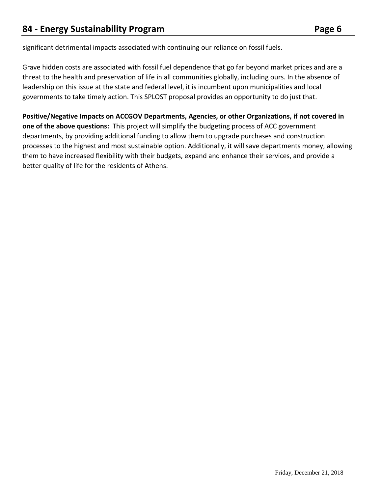significant detrimental impacts associated with continuing our reliance on fossil fuels.

Grave hidden costs are associated with fossil fuel dependence that go far beyond market prices and are a threat to the health and preservation of life in all communities globally, including ours. In the absence of leadership on this issue at the state and federal level, it is incumbent upon municipalities and local governments to take timely action. This SPLOST proposal provides an opportunity to do just that.

**Positive/Negative Impacts on ACCGOV Departments, Agencies, or other Organizations, if not covered in one of the above questions:** This project will simplify the budgeting process of ACC government departments, by providing additional funding to allow them to upgrade purchases and construction processes to the highest and most sustainable option. Additionally, it will save departments money, allowing them to have increased flexibility with their budgets, expand and enhance their services, and provide a better quality of life for the residents of Athens.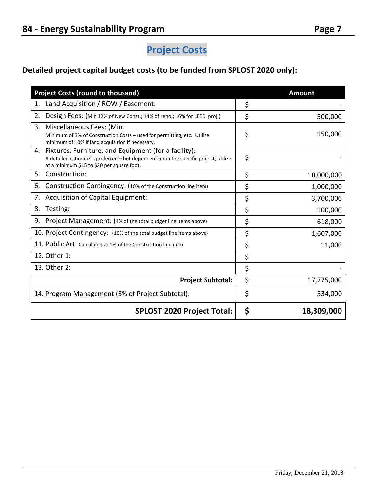## **Detailed project capital budget costs (to be funded from SPLOST 2020 only):**

| <b>Project Costs (round to thousand)</b>                                                                                                                                                        |    | <b>Amount</b> |
|-------------------------------------------------------------------------------------------------------------------------------------------------------------------------------------------------|----|---------------|
| Land Acquisition / ROW / Easement:<br>1.                                                                                                                                                        | \$ |               |
| 2.<br>Design Fees: (Min.12% of New Const.; 14% of reno,; 16% for LEED proj.)                                                                                                                    | \$ | 500,000       |
| 3.<br>Miscellaneous Fees: (Min.<br>Minimum of 3% of Construction Costs - used for permitting, etc. Utilize<br>minimum of 10% if land acquisition if necessary.                                  | \$ | 150,000       |
| Fixtures, Furniture, and Equipment (for a facility):<br>4.<br>A detailed estimate is preferred - but dependent upon the specific project, utilize<br>at a minimum \$15 to \$20 per square foot. | \$ |               |
| 5.<br>Construction:                                                                                                                                                                             | \$ | 10,000,000    |
| Construction Contingency: (10% of the Construction line item)<br>6.                                                                                                                             | \$ | 1,000,000     |
| Acquisition of Capital Equipment:<br>7.                                                                                                                                                         | \$ | 3,700,000     |
| Testing:<br>8.                                                                                                                                                                                  | \$ | 100,000       |
| Project Management: (4% of the total budget line items above)<br>9.                                                                                                                             | \$ | 618,000       |
| 10. Project Contingency: (10% of the total budget line items above)                                                                                                                             | \$ | 1,607,000     |
| 11. Public Art: Calculated at 1% of the Construction line item.                                                                                                                                 | \$ | 11,000        |
| 12. Other 1:                                                                                                                                                                                    | \$ |               |
| 13. Other 2:                                                                                                                                                                                    | \$ |               |
| <b>Project Subtotal:</b>                                                                                                                                                                        |    | 17,775,000    |
| 14. Program Management (3% of Project Subtotal):                                                                                                                                                | \$ | 534,000       |
| <b>SPLOST 2020 Project Total:</b>                                                                                                                                                               |    | 18,309,000    |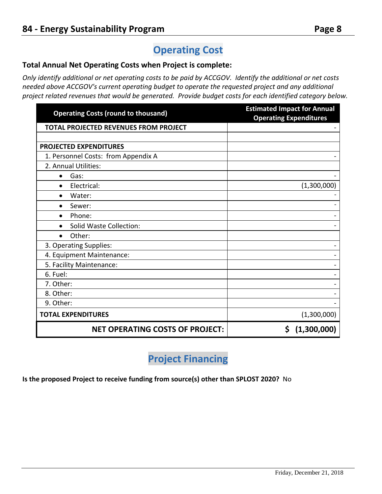# **Operating Cost**

#### **Total Annual Net Operating Costs when Project is complete:**

*Only identify additional or net operating costs to be paid by ACCGOV. Identify the additional or net costs needed above ACCGOV's current operating budget to operate the requested project and any additional project related revenues that would be generated. Provide budget costs for each identified category below.* 

| <b>Operating Costs (round to thousand)</b>   | <b>Estimated Impact for Annual</b><br><b>Operating Expenditures</b> |
|----------------------------------------------|---------------------------------------------------------------------|
| <b>TOTAL PROJECTED REVENUES FROM PROJECT</b> |                                                                     |
|                                              |                                                                     |
| <b>PROJECTED EXPENDITURES</b>                |                                                                     |
| 1. Personnel Costs: from Appendix A          |                                                                     |
| 2. Annual Utilities:                         |                                                                     |
| Gas:<br>$\bullet$                            |                                                                     |
| Electrical:<br>$\bullet$                     | (1,300,000)                                                         |
| Water:<br>$\bullet$                          |                                                                     |
| Sewer:<br>$\bullet$                          |                                                                     |
| Phone:<br>$\bullet$                          |                                                                     |
| Solid Waste Collection:                      |                                                                     |
| Other:<br>$\bullet$                          |                                                                     |
| 3. Operating Supplies:                       |                                                                     |
| 4. Equipment Maintenance:                    |                                                                     |
| 5. Facility Maintenance:                     |                                                                     |
| 6. Fuel:                                     |                                                                     |
| 7. Other:                                    |                                                                     |
| 8. Other:                                    |                                                                     |
| 9. Other:                                    |                                                                     |
| <b>TOTAL EXPENDITURES</b>                    | (1,300,000)                                                         |
| <b>NET OPERATING COSTS OF PROJECT:</b>       | (1,300,000)<br>\$                                                   |

# **Project Financing**

**Is the proposed Project to receive funding from source(s) other than SPLOST 2020?** No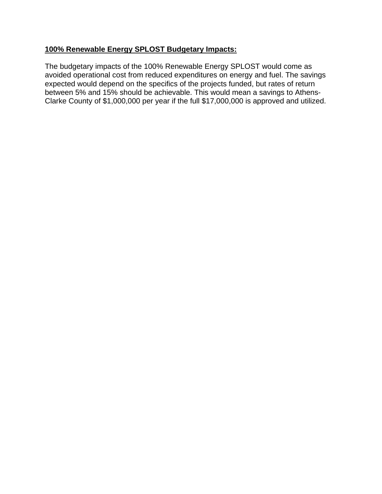#### **100% Renewable Energy SPLOST Budgetary Impacts:**

The budgetary impacts of the 100% Renewable Energy SPLOST would come as avoided operational cost from reduced expenditures on energy and fuel. The savings expected would depend on the specifics of the projects funded, but rates of return between 5% and 15% should be achievable. This would mean a savings to Athens-Clarke County of \$1,000,000 per year if the full \$17,000,000 is approved and utilized.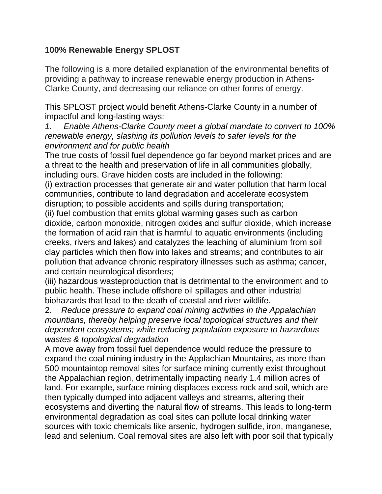### **100% Renewable Energy SPLOST**

The following is a more detailed explanation of the environmental benefits of providing a pathway to increase renewable energy production in Athens-Clarke County, and decreasing our reliance on other forms of energy.

This SPLOST project would benefit Athens-Clarke County in a number of impactful and long-lasting ways:

*1. Enable Athens-Clarke County meet a global mandate to convert to 100% renewable energy, slashing its pollution levels to safer levels for the environment and for public health*

The true costs of fossil fuel dependence go far beyond market prices and are a threat to the health and preservation of life in all communities globally, including ours. Grave hidden costs are included in the following:

(i) extraction processes that generate air and water pollution that harm local communities, contribute to land degradation and accelerate ecosystem disruption; to possible accidents and spills during transportation;

(ii) fuel combustion that emits global warming gases such as carbon dioxide, carbon monoxide, nitrogen oxides and sulfur dioxide, which increase the formation of acid rain that is harmful to aquatic environments (including creeks, rivers and lakes) and catalyzes the leaching of aluminium from soil clay particles which then flow into lakes and streams; and contributes to air pollution that advance chronic respiratory illnesses such as asthma; cancer, and certain neurological disorders;

(iii) hazardous wasteproduction that is detrimental to the environment and to public health. These include offshore oil spillages and other industrial biohazards that lead to the death of coastal and river wildlife.

2. *Reduce pressure to expand coal mining activities in the Appalachian mountians, thereby helping preserve local topological structures and their dependent ecosystems; while reducing population exposure to hazardous wastes & topological degradation*

A move away from fossil fuel dependence would reduce the pressure to expand the coal mining industry in the Applachian Mountains, as more than 500 mountaintop removal sites for surface mining currently exist throughout the Appalachian region, detrimentally impacting nearly 1.4 million acres of land. For example, surface mining displaces excess rock and soil, which are then typically dumped into adjacent valleys and streams, altering their ecosystems and diverting the natural flow of streams. This leads to long-term environmental degradation as coal sites can pollute local drinking water sources with toxic chemicals like arsenic, hydrogen sulfide, iron, manganese, lead and selenium. Coal removal sites are also left with poor soil that typically